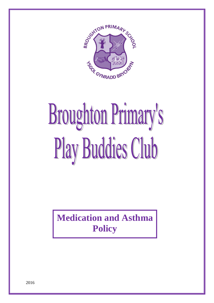

# **Broughton Primary's** Play Buddies Club

**Medication and Asthma Policy**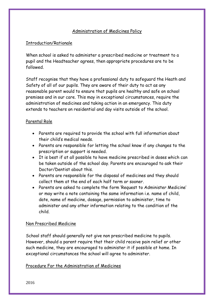# Administration of Medicines Policy

### Introduction/Rationale

When school is asked to administer a prescribed medicine or treatment to a pupil and the Headteacher agrees, then appropriate procedures are to be followed.

Staff recognise that they have a professional duty to safeguard the Heath and Safety of all of our pupils. They are aware of their duty to act as any reasonable parent would to ensure that pupils are healthy and safe on school premises and in our care. This may in exceptional circumstances, require the administration of medicines and taking action in an emergency. This duty extends to teachers on residential and day visits outside of the school.

#### Parental Role

- Parents are required to provide the school with full information about their child's medical needs.
- Parents are responsible for letting the school know if any changes to the prescription or support is needed.
- It is best if at all possible to have medicine prescribed in doses which can be taken outside of the school day. Parents are encouraged to ask their Doctor/Dentist about this.
- Parents are responsible for the disposal of medicines and they should collect them at the end of each half term or sooner.
- Parents are asked to complete the form 'Request to Administer Medicine' or may write a note containing the same information i.e. name of child, date, name of medicine, dosage, permission to administer, time to administer and any other information relating to the condition of the child.

#### Non Prescribed Medicine

School staff should generally not give non prescribed medicine to pupils. However, should a parent require that their child receive pain relief or other such medicine, they are encouraged to administer it if possible at home. In exceptional circumstances the school will agree to administer.

#### Procedure For the Administration of Medicines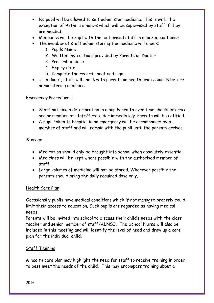- No pupil will be allowed to self administer medicine. This is with the exception of Asthma inhalers which will be supervised by staff if they are needed.
- Medicines will be kept with the authorised staff in a locked container.
- The member of staff administering the medicine will check:
	- 1. Pupils Name
	- 2. Written instructions provided by Parents or Doctor
	- 3. Prescribed dose
	- 4. Expiry date
	- 5. Complete the record sheet and sign
- If in doubt, staff will check with parents or health professionals before administering medicine

# Emergency Procedures

- Staff noticing a deterioration in a pupils health over time should inform a senior member of staff/first aider immediately. Parents will be notified.
- A pupil taken to hospital in an emergency will be accompanied by a member of staff and will remain with the pupil until the parents arrives.

#### Storage

- Medication should only be brought into school when absolutely essential.
- Medicines will be kept where possible with the authorised member of staff.
- Large volumes of medicine will not be stored. Wherever possible the parents should bring the daily required dose only.

# Health Care Plan

Occasionally pupils have medical conditions which if not managed properly could limit their access to education. Such pupils are regarded as having medical needs.

Parents will be invited into school to discuss their child's needs with the class teacher and senior member of staff/ALNCO. The School Nurse will also be included in this meeting and will identify the level of need and draw up a care plan for the individual child.

# Staff Training

A health care plan may highlight the need for staff to receive training in order to best meet the needs of the child. This may encompass training about a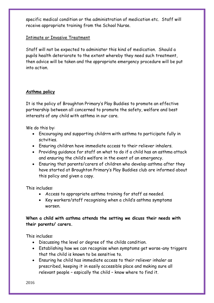specific medical condition or the administration of medication etc. Staff will receive appropriate training from the School Nurse.

### Intimate or Invasive Treatment

Staff will not be expected to administer this kind of medication. Should a pupils health deteriorate to the extent whereby they need such treatment, then advice will be taken and the appropriate emergency procedure will be put into action.

#### **Asthma policy**

It is the policy of Broughton Primary's Play Buddies to promote an effective partnership between all concerned to promote the safety, welfare and best interests of any child with asthma in our care.

We do this by:

- Encouraging and supporting childrrn with asthma to participate fully in sctvities.
- Ensuring children have immediate access to their reliever inhalers.
- Providing guidance for staff on what to do if a child has an asthma attack and ensuring the child's welfare in the event of an emergency.
- Ensuring that parents/carers of children who develop asthma after they have started at Broughton Primary's Play Buddies club are informed about this policy and given a copy.

This includes:

- Access to appropriate asthma training for staff as needed.
- Key workers/staff recognising when a child's asthma symptoms worsen.

# **When a child with asthma attends the setting we dicuss their needs with their parents/ carers.**

This includes:

- Discussing the level or degree of the childs condition.
- Establishing how we can recognise when symptoms get worse-any triggers that the child is known to be sensitive to.
- Ensuring he child has immediate access to their reliever inhaler as prescribed, keeping it in easily accessible place and making sure all relevant people – espically the child – know where to find it.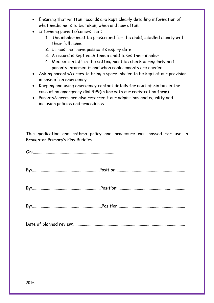- Ensuring that written records are kept clearly detailing information of what medicine is to be taken, when and how often.
- Informing parents/carers that:
	- 1. The inhaler must be prescribed for the child, labelled clearly with their full name.
	- 2. It must not have passed its expiry date
	- 3. A record is kept each time a child takes their inhaler
	- 4. Medication left in the setting must be checked regularly and parents informed if and when replacements are needed.
- Asking parents/carers to bring a spare inhaler to be kept at our provision in case of an emergency
- Keeping and using emergency contact details for next of kin but in the case of an emergency dial 999(in line with our registration form)
- Parents/carers are also referred t our admissions and equality and inclusion policies and procedures.

This medication and asthma policy and procedure was passed for use in Broughton Primary's Play Buddies.

On:............................................................................

By:...............................................................Position:................................................................

By:................................................................Position:...............................................................

By:.................................................................Position:..............................................................

Date of planned review:........................................................................................................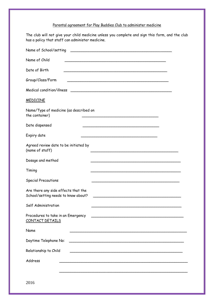# Parental agreement for Play Buddies Club to administer medicine

The club will not give your child medicine unless you complete and sign this form, and the club has a policy that staff can administer medicine.

| Name of School/setting                                                                                                                         |
|------------------------------------------------------------------------------------------------------------------------------------------------|
| Name of Child                                                                                                                                  |
| Date of Birth                                                                                                                                  |
| Group/Class/Form                                                                                                                               |
| Medical condition/illness                                                                                                                      |
| <b>MEDICINE</b>                                                                                                                                |
| Name/Type of medicine (as described on<br>the container)                                                                                       |
| Date dispensed                                                                                                                                 |
| Expiry date                                                                                                                                    |
| Agreed review date to be initiated by<br>(name of staff)                                                                                       |
| Dosage and method                                                                                                                              |
| Timing                                                                                                                                         |
| <b>Special Precautions</b>                                                                                                                     |
| Are there any side effects that the<br>School/setting needs to know about?                                                                     |
| Self Administration                                                                                                                            |
| Procedures to take in an Emergency<br>CONTACT DETAILS                                                                                          |
| Name                                                                                                                                           |
| Daytime Telephone No:<br><u> 1989 - Johann Harry Harry Harry Harry Harry Harry Harry Harry Harry Harry Harry Harry Harry Harry Harry Harry</u> |
| Relationship to Child                                                                                                                          |
| Address                                                                                                                                        |
|                                                                                                                                                |
| 2016                                                                                                                                           |